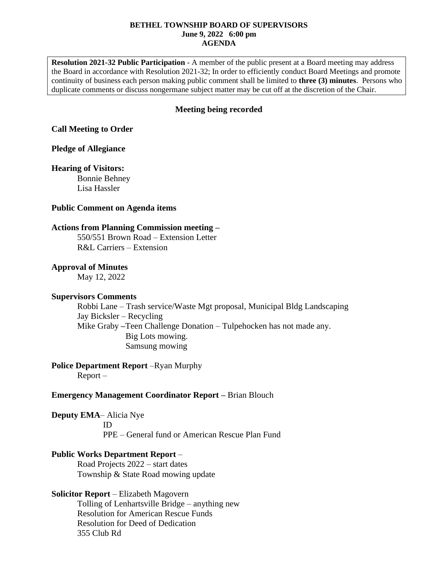#### **BETHEL TOWNSHIP BOARD OF SUPERVISORS June 9, 2022 6:00 pm AGENDA**

**Resolution 2021-32 Public Participation** - A member of the public present at a Board meeting may address the Board in accordance with Resolution 2021-32; In order to efficiently conduct Board Meetings and promote continuity of business each person making public comment shall be limited to **three (3) minutes**. Persons who duplicate comments or discuss nongermane subject matter may be cut off at the discretion of the Chair.

# **Meeting being recorded**

## **Call Meeting to Order**

### **Pledge of Allegiance**

#### **Hearing of Visitors:**

Bonnie Behney Lisa Hassler

#### **Public Comment on Agenda items**

### **Actions from Planning Commission meeting –**

550/551 Brown Road – Extension Letter R&L Carriers – Extension

#### **Approval of Minutes**

May 12, 2022

### **Supervisors Comments**

Robbi Lane – Trash service/Waste Mgt proposal, Municipal Bldg Landscaping Jay Bicksler – Recycling Mike Graby **–**Teen Challenge Donation – Tulpehocken has not made any. Big Lots mowing. Samsung mowing

# **Police Department Report** –Ryan Murphy

Report –

## **Emergency Management Coordinator Report –** Brian Blouch

**Deputy EMA**– Alicia Nye

ID PPE – General fund or American Rescue Plan Fund

### **Public Works Department Report** –

Road Projects 2022 – start dates Township & State Road mowing update

### **Solicitor Report** – Elizabeth Magovern

Tolling of Lenhartsville Bridge – anything new Resolution for American Rescue Funds Resolution for Deed of Dedication 355 Club Rd